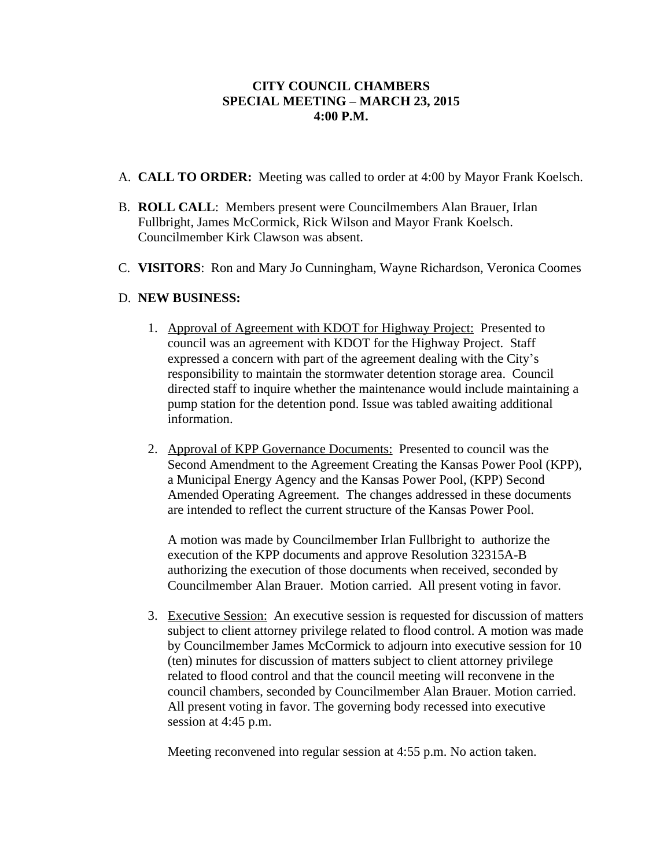## **CITY COUNCIL CHAMBERS SPECIAL MEETING – MARCH 23, 2015 4:00 P.M.**

- A. **CALL TO ORDER:** Meeting was called to order at 4:00 by Mayor Frank Koelsch.
- B. **ROLL CALL**: Members present were Councilmembers Alan Brauer, Irlan Fullbright, James McCormick, Rick Wilson and Mayor Frank Koelsch. Councilmember Kirk Clawson was absent.
- C. **VISITORS**: Ron and Mary Jo Cunningham, Wayne Richardson, Veronica Coomes

## D. **NEW BUSINESS:**

- 1. Approval of Agreement with KDOT for Highway Project: Presented to council was an agreement with KDOT for the Highway Project. Staff expressed a concern with part of the agreement dealing with the City's responsibility to maintain the stormwater detention storage area. Council directed staff to inquire whether the maintenance would include maintaining a pump station for the detention pond. Issue was tabled awaiting additional information.
- 2. Approval of KPP Governance Documents: Presented to council was the Second Amendment to the Agreement Creating the Kansas Power Pool (KPP), a Municipal Energy Agency and the Kansas Power Pool, (KPP) Second Amended Operating Agreement. The changes addressed in these documents are intended to reflect the current structure of the Kansas Power Pool.

A motion was made by Councilmember Irlan Fullbright to authorize the execution of the KPP documents and approve Resolution 32315A-B authorizing the execution of those documents when received, seconded by Councilmember Alan Brauer. Motion carried. All present voting in favor.

3. Executive Session: An executive session is requested for discussion of matters subject to client attorney privilege related to flood control. A motion was made by Councilmember James McCormick to adjourn into executive session for 10 (ten) minutes for discussion of matters subject to client attorney privilege related to flood control and that the council meeting will reconvene in the council chambers, seconded by Councilmember Alan Brauer. Motion carried. All present voting in favor. The governing body recessed into executive session at 4:45 p.m.

Meeting reconvened into regular session at 4:55 p.m. No action taken.